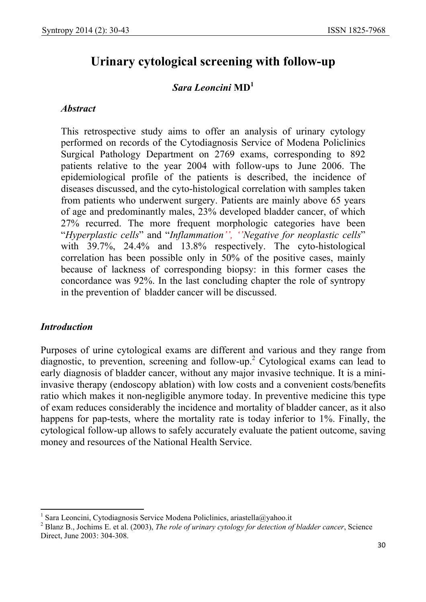# **Urinary cytological screening with follow-up**

# *Sara Leoncini* **MD<sup>1</sup>**

#### *Abstract*

This retrospective study aims to offer an analysis of urinary cytology performed on records of the Cytodiagnosis Service of Modena Policlinics Surgical Pathology Department on 2769 exams, corresponding to 892 patients relative to the year 2004 with follow-ups to June 2006. The epidemiological profile of the patients is described, the incidence of diseases discussed, and the cyto-histological correlation with samples taken from patients who underwent surgery. Patients are mainly above 65 years of age and predominantly males, 23% developed bladder cancer, of which 27% recurred. The more frequent morphologic categories have been "*Hyperplastic cells*" and "*Inflammation'', ''Negative for neoplastic cells*" with 39.7%, 24.4% and 13.8% respectively. The cyto-histological correlation has been possible only in 50% of the positive cases, mainly because of lackness of corresponding biopsy: in this former cases the concordance was 92%. In the last concluding chapter the role of syntropy in the prevention of bladder cancer will be discussed.

#### *Introduction*

 $\overline{\phantom{a}}$ 

Purposes of urine cytological exams are different and various and they range from diagnostic, to prevention, screening and follow-up.<sup>2</sup> Cytological exams can lead to early diagnosis of bladder cancer, without any major invasive technique. It is a miniinvasive therapy (endoscopy ablation) with low costs and a convenient costs/benefits ratio which makes it non-negligible anymore today. In preventive medicine this type of exam reduces considerably the incidence and mortality of bladder cancer, as it also happens for pap-tests, where the mortality rate is today inferior to 1%. Finally, the cytological follow-up allows to safely accurately evaluate the patient outcome, saving money and resources of the National Health Service.

<sup>&</sup>lt;sup>1</sup> Sara Leoncini, Cytodiagnosis Service Modena Policlinics, ariastella@yahoo.it

<sup>2</sup> Blanz B., Jochims E. et al. (2003), *The role of urinary cytology for detection of bladder cancer*, Science Direct, June 2003: 304-308.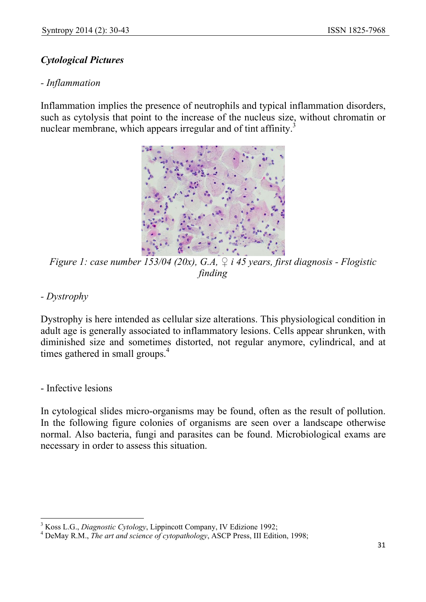# *Cytological Pictures*

## *- Inflammation*

Inflammation implies the presence of neutrophils and typical inflammation disorders, such as cytolysis that point to the increase of the nucleus size, without chromatin or nuclear membrane, which appears irregular and of tint affinity.<sup>3</sup>



*Figure 1: case number 153/04 (20x), G.A, ♀ i 45 years, first diagnosis - Flogistic finding* 

*- Dystrophy* 

Dystrophy is here intended as cellular size alterations. This physiological condition in adult age is generally associated to inflammatory lesions. Cells appear shrunken, with diminished size and sometimes distorted, not regular anymore, cylindrical, and at times gathered in small groups.<sup>4</sup>

- Infective lesions

 $\overline{\phantom{a}}$ 

In cytological slides micro-organisms may be found, often as the result of pollution. In the following figure colonies of organisms are seen over a landscape otherwise normal. Also bacteria, fungi and parasites can be found. Microbiological exams are necessary in order to assess this situation.

<sup>3</sup> Koss L.G., *Diagnostic Cytology*, Lippincott Company, IV Edizione 1992;

<sup>4</sup> DeMay R.M., *The art and science of cytopathology*, ASCP Press, III Edition, 1998;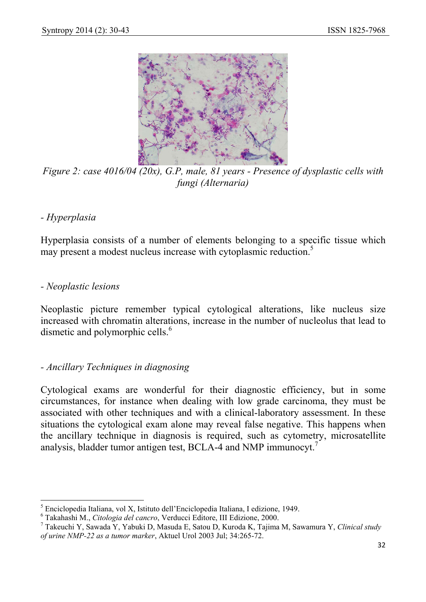

*Figure 2: case 4016/04 (20x), G.P, male, 81 years - Presence of dysplastic cells with fungi (Alternaria)*

# *- Hyperplasia*

Hyperplasia consists of a number of elements belonging to a specific tissue which may present a modest nucleus increase with cytoplasmic reduction.<sup>5</sup>

#### *- Neoplastic lesions*

Neoplastic picture remember typical cytological alterations, like nucleus size increased with chromatin alterations, increase in the number of nucleolus that lead to dismetic and polymorphic cells.<sup>6</sup>

#### *- Ancillary Techniques in diagnosing*

Cytological exams are wonderful for their diagnostic efficiency, but in some circumstances, for instance when dealing with low grade carcinoma, they must be associated with other techniques and with a clinical-laboratory assessment. In these situations the cytological exam alone may reveal false negative. This happens when the ancillary technique in diagnosis is required, such as cytometry, microsatellite analysis, bladder tumor antigen test, BCLA-4 and NMP immunocyt.<sup>7</sup>

 5 Enciclopedia Italiana, vol X, Istituto dell'Enciclopedia Italiana, I edizione, 1949.

<sup>6</sup> Takahashi M., *Citologia del cancro*, Verducci Editore, III Edizione, 2000.

<sup>7</sup> Takeuchi Y, Sawada Y, Yabuki D, Masuda E, Satou D, Kuroda K, Tajima M, Sawamura Y, *Clinical study of urine NMP-22 as a tumor marker*, Aktuel Urol 2003 Jul; 34:265-72.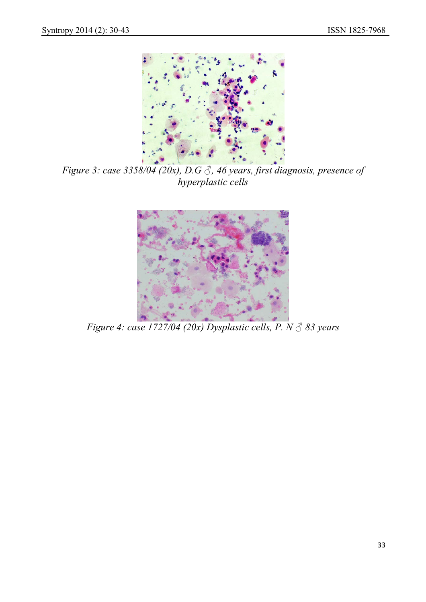

*Figure 3: case 3358/04 (20x), D.G ♂, 46 years, first diagnosis, presence of hyperplastic cells* 



*Figure 4: case 1727/04 (20x) Dysplastic cells, P. N ♂ 83 years*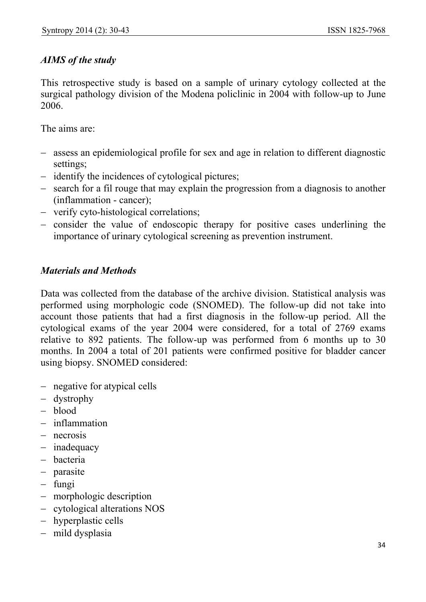# *AIMS of the study*

This retrospective study is based on a sample of urinary cytology collected at the surgical pathology division of the Modena policlinic in 2004 with follow-up to June 2006.

The aims are:

- − assess an epidemiological profile for sex and age in relation to different diagnostic settings;
- − identify the incidences of cytological pictures;
- − search for a fil rouge that may explain the progression from a diagnosis to another (inflammation - cancer);
- − verify cyto-histological correlations;
- − consider the value of endoscopic therapy for positive cases underlining the importance of urinary cytological screening as prevention instrument.

## *Materials and Methods*

Data was collected from the database of the archive division. Statistical analysis was performed using morphologic code (SNOMED). The follow-up did not take into account those patients that had a first diagnosis in the follow-up period. All the cytological exams of the year 2004 were considered, for a total of 2769 exams relative to 892 patients. The follow-up was performed from 6 months up to 30 months. In 2004 a total of 201 patients were confirmed positive for bladder cancer using biopsy. SNOMED considered:

- − negative for atypical cells
- − dystrophy
- − blood
- − inflammation
- − necrosis
- − inadequacy
- − bacteria
- − parasite
- − fungi
- − morphologic description
- − cytological alterations NOS
- − hyperplastic cells
- − mild dysplasia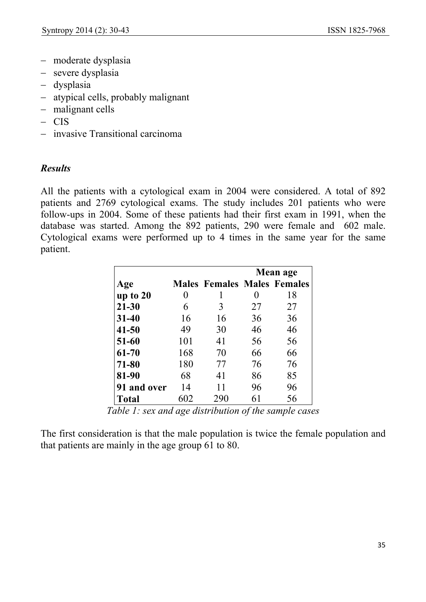- − moderate dysplasia
- − severe dysplasia
- − dysplasia
- − atypical cells, probably malignant
- − malignant cells
- − CIS
- − invasive Transitional carcinoma

## *Results*

All the patients with a cytological exam in 2004 were considered. A total of 892 patients and 2769 cytological exams. The study includes 201 patients who were follow-ups in 2004. Some of these patients had their first exam in 1991, when the database was started. Among the 892 patients, 290 were female and 602 male. Cytological exams were performed up to 4 times in the same year for the same patient.

|              |     |                                    | Mean age |    |  |
|--------------|-----|------------------------------------|----------|----|--|
| Age          |     | <b>Males Females Males Females</b> |          |    |  |
| up to 20     | 0   |                                    | 0        | 18 |  |
| $21 - 30$    | 6   | 3                                  | 27       | 27 |  |
| $31 - 40$    | 16  | 16                                 | 36       | 36 |  |
| $41 - 50$    | 49  | 30                                 | 46       | 46 |  |
| $51 - 60$    | 101 | 41                                 | 56       | 56 |  |
| 61-70        | 168 | 70                                 | 66       | 66 |  |
| 71-80        | 180 | 77                                 | 76       | 76 |  |
| 81-90        | 68  | 41                                 | 86       | 85 |  |
| 91 and over  | 14  | 11                                 | 96       | 96 |  |
| <b>Total</b> | 602 | 290                                | 61       | 56 |  |

*Table 1: sex and age distribution of the sample cases*

The first consideration is that the male population is twice the female population and that patients are mainly in the age group 61 to 80.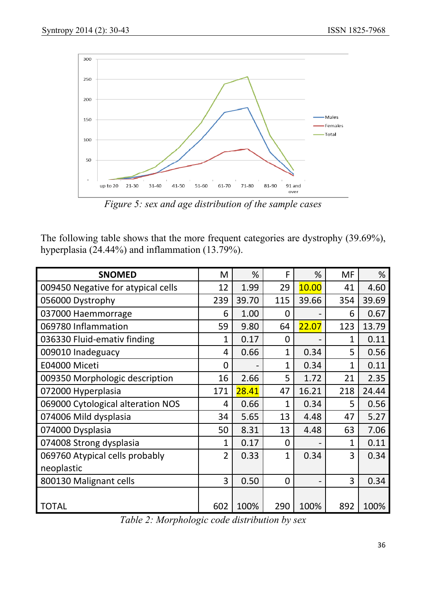

*Figure 5: sex and age distribution of the sample cases*

The following table shows that the more frequent categories are dystrophy (39.69%), hyperplasia  $(24.44\%)$  and inflammation  $(13.79\%)$ .

| <b>SNOMED</b>                      | M              | %     | F              | %     | <b>MF</b>    | %     |
|------------------------------------|----------------|-------|----------------|-------|--------------|-------|
| 009450 Negative for atypical cells | 12             | 1.99  | 29             | 10.00 | 41           | 4.60  |
| 056000 Dystrophy                   | 239            | 39.70 | 115            | 39.66 | 354          | 39.69 |
| 037000 Haemmorrage                 | 6              | 1.00  | $\overline{0}$ |       | 6            | 0.67  |
| 069780 Inflammation                | 59             | 9.80  | 64             | 22.07 | 123          | 13.79 |
| 036330 Fluid-emativ finding        | 1              | 0.17  | $\overline{0}$ |       | $\mathbf 1$  | 0.11  |
| 009010 Inadeguacy                  | 4              | 0.66  | $\mathbf{1}$   | 0.34  | 5            | 0.56  |
| E04000 Miceti                      | 0              |       | $\mathbf{1}$   | 0.34  | $\mathbf{1}$ | 0.11  |
| 009350 Morphologic description     | 16             | 2.66  | 5              | 1.72  | 21           | 2.35  |
| 072000 Hyperplasia                 | 171            | 28.41 | 47             | 16.21 | 218          | 24.44 |
| 069000 Cytological alteration NOS  | 4              | 0.66  | 1              | 0.34  | 5            | 0.56  |
| 074006 Mild dysplasia              | 34             | 5.65  | 13             | 4.48  | 47           | 5.27  |
| 074000 Dysplasia                   | 50             | 8.31  | 13             | 4.48  | 63           | 7.06  |
| 074008 Strong dysplasia            | 1              | 0.17  | 0              |       | 1            | 0.11  |
| 069760 Atypical cells probably     | $\overline{2}$ | 0.33  | 1              | 0.34  | 3            | 0.34  |
| neoplastic                         |                |       |                |       |              |       |
| 800130 Malignant cells             | 3              | 0.50  | $\overline{0}$ |       | 3            | 0.34  |
|                                    |                |       |                |       |              |       |
| TOTAL                              | 602            | 100%  | 290            | 100%  | 892          | 100%  |

*Table 2: Morphologic code distribution by sex*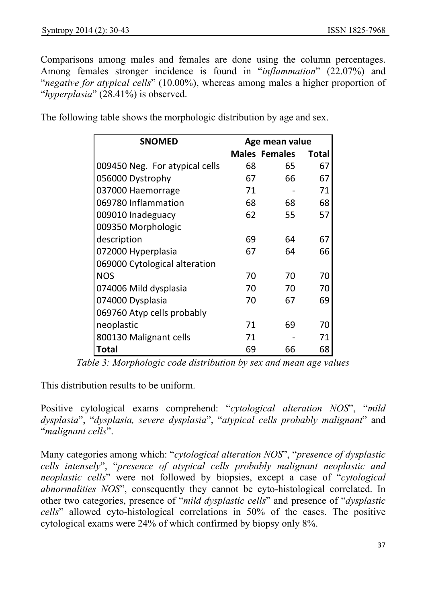Comparisons among males and females are done using the column percentages. Among females stronger incidence is found in "*inflammation*" (22.07%) and "*negative for atypical cells*" (10.00%), whereas among males a higher proportion of "*hyperplasia*" (28.41%) is observed.

| <b>SNOMED</b>                  | Age mean value |                      |              |
|--------------------------------|----------------|----------------------|--------------|
|                                |                | <b>Males Females</b> | <b>Total</b> |
| 009450 Neg. For atypical cells | 68             | 65                   | 67           |
| 056000 Dystrophy               | 67             | 66                   | 67           |
| 037000 Haemorrage              | 71             |                      | 71           |
| 069780 Inflammation            | 68             | 68                   | 68           |
| 009010 Inadeguacy              | 62             | 55                   | 57           |
| 009350 Morphologic             |                |                      |              |
| description                    | 69             | 64                   | 67           |
| 072000 Hyperplasia             | 67             | 64                   | 66           |
| 069000 Cytological alteration  |                |                      |              |
| <b>NOS</b>                     | 70             | 70                   | 70           |
| 074006 Mild dysplasia          | 70             | 70                   | 70           |
| 074000 Dysplasia               | 70             | 67                   | 69           |
| 069760 Atyp cells probably     |                |                      |              |
| neoplastic                     | 71             | 69                   | 70           |
| 800130 Malignant cells         | 71             |                      | 71           |
| Total                          | 69             | 66                   | 68           |

The following table shows the morphologic distribution by age and sex.

*Table 3: Morphologic code distribution by sex and mean age values*

This distribution results to be uniform.

Positive cytological exams comprehend: "*cytological alteration NOS*", "*mild dysplasia*", "*dysplasia, severe dysplasia*", "*atypical cells probably malignant*" and "*malignant cells*".

Many categories among which: "*cytological alteration NOS*", "*presence of dysplastic cells intensely*", "*presence of atypical cells probably malignant neoplastic and neoplastic cells*" were not followed by biopsies, except a case of "*cytological abnormalities NOS*", consequently they cannot be cyto-histological correlated. In other two categories, presence of "*mild dysplastic cells*" and presence of "*dysplastic cells*" allowed cyto-histological correlations in 50% of the cases. The positive cytological exams were 24% of which confirmed by biopsy only 8%.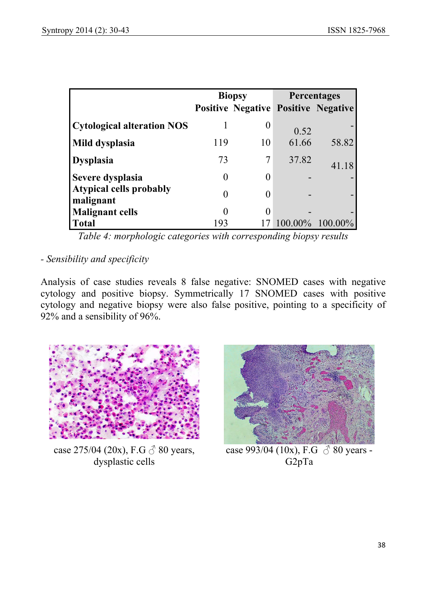|                                             | <b>Biopsy</b> |    | <b>Percentages</b> |                                            |
|---------------------------------------------|---------------|----|--------------------|--------------------------------------------|
|                                             |               |    |                    | <b>Positive Negative Positive Negative</b> |
| <b>Cytological alteration NOS</b>           |               |    | 0.52               |                                            |
| Mild dysplasia                              | 119           | 10 | 61.66              | 58.82                                      |
| <b>Dysplasia</b>                            | 73            |    | 37.82              | 41.18                                      |
| Severe dysplasia                            | $\theta$      |    |                    |                                            |
| <b>Atypical cells probably</b><br>malignant | 0             |    |                    |                                            |
| <b>Malignant cells</b>                      | 0             |    |                    |                                            |
| <b>Total</b>                                | 193           |    |                    | 100.00% 100.00%                            |

*Table 4: morphologic categories with corresponding biopsy results*

# *- Sensibility and specificity*

Analysis of case studies reveals 8 false negative: SNOMED cases with negative cytology and positive biopsy. Symmetrically 17 SNOMED cases with positive cytology and negative biopsy were also false positive, pointing to a specificity of 92% and a sensibility of 96%.



case 275/04 (20x), F.G  $\circled{}$  80 years, dysplastic cells



case 993/04 (10x), F.G  $\circled{}$  80 years -G2pTa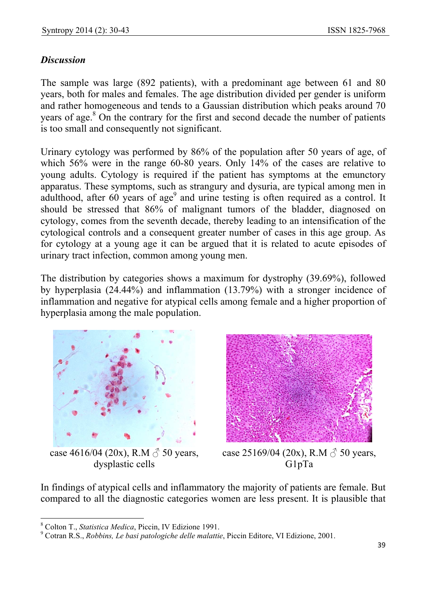# *Discussion*

The sample was large (892 patients), with a predominant age between 61 and 80 years, both for males and females. The age distribution divided per gender is uniform and rather homogeneous and tends to a Gaussian distribution which peaks around 70 years of age.<sup>8</sup> On the contrary for the first and second decade the number of patients is too small and consequently not significant.

Urinary cytology was performed by 86% of the population after 50 years of age, of which 56% were in the range 60-80 years. Only 14% of the cases are relative to young adults. Cytology is required if the patient has symptoms at the emunctory apparatus. These symptoms, such as strangury and dysuria, are typical among men in adulthood, after  $60$  years of age<sup>9</sup> and urine testing is often required as a control. It should be stressed that 86% of malignant tumors of the bladder, diagnosed on cytology, comes from the seventh decade, thereby leading to an intensification of the cytological controls and a consequent greater number of cases in this age group. As for cytology at a young age it can be argued that it is related to acute episodes of urinary tract infection, common among young men.

The distribution by categories shows a maximum for dystrophy (39.69%), followed by hyperplasia (24.44%) and inflammation (13.79%) with a stronger incidence of inflammation and negative for atypical cells among female and a higher proportion of hyperplasia among the male population.



case 4616/04 (20x), R.M  $\delta$  50 years, dysplastic cells



case 25169/04 (20x), R.M  $\delta$  50 years, G1pTa

In findings of atypical cells and inflammatory the majority of patients are female. But compared to all the diagnostic categories women are less present. It is plausible that

 $\overline{\phantom{a}}$ 

<sup>8</sup> Colton T., *Statistica Medica*, Piccin, IV Edizione 1991.

<sup>9</sup> Cotran R.S., *Robbins, Le basi patologiche delle malattie*, Piccin Editore, VI Edizione, 2001.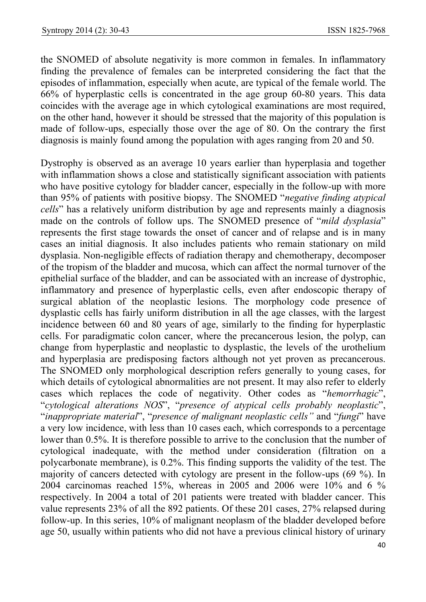the SNOMED of absolute negativity is more common in females. In inflammatory finding the prevalence of females can be interpreted considering the fact that the episodes of inflammation, especially when acute, are typical of the female world. The 66% of hyperplastic cells is concentrated in the age group 60-80 years. This data coincides with the average age in which cytological examinations are most required, on the other hand, however it should be stressed that the majority of this population is made of follow-ups, especially those over the age of 80. On the contrary the first diagnosis is mainly found among the population with ages ranging from 20 and 50.

Dystrophy is observed as an average 10 years earlier than hyperplasia and together with inflammation shows a close and statistically significant association with patients who have positive cytology for bladder cancer, especially in the follow-up with more than 95% of patients with positive biopsy. The SNOMED "*negative finding atypical cells*" has a relatively uniform distribution by age and represents mainly a diagnosis made on the controls of follow ups. The SNOMED presence of "*mild dysplasia*" represents the first stage towards the onset of cancer and of relapse and is in many cases an initial diagnosis. It also includes patients who remain stationary on mild dysplasia. Non-negligible effects of radiation therapy and chemotherapy, decomposer of the tropism of the bladder and mucosa, which can affect the normal turnover of the epithelial surface of the bladder, and can be associated with an increase of dystrophic, inflammatory and presence of hyperplastic cells, even after endoscopic therapy of surgical ablation of the neoplastic lesions. The morphology code presence of dysplastic cells has fairly uniform distribution in all the age classes, with the largest incidence between 60 and 80 years of age, similarly to the finding for hyperplastic cells. For paradigmatic colon cancer, where the precancerous lesion, the polyp, can change from hyperplastic and neoplastic to dysplastic, the levels of the urothelium and hyperplasia are predisposing factors although not yet proven as precancerous. The SNOMED only morphological description refers generally to young cases, for which details of cytological abnormalities are not present. It may also refer to elderly cases which replaces the code of negativity. Other codes as "*hemorrhagic*", "*cytological alterations NOS*", "*presence of atypical cells probably neoplastic*", "*inappropriate material*", "*presence of malignant neoplastic cells"* and "*fungi*" have a very low incidence, with less than 10 cases each, which corresponds to a percentage lower than 0.5%. It is therefore possible to arrive to the conclusion that the number of cytological inadequate, with the method under consideration (filtration on a polycarbonate membrane), is 0.2%. This finding supports the validity of the test. The majority of cancers detected with cytology are present in the follow-ups (69 %). In 2004 carcinomas reached 15%, whereas in 2005 and 2006 were 10% and 6 % respectively. In 2004 a total of 201 patients were treated with bladder cancer. This value represents 23% of all the 892 patients. Of these 201 cases, 27% relapsed during follow-up. In this series, 10% of malignant neoplasm of the bladder developed before age 50, usually within patients who did not have a previous clinical history of urinary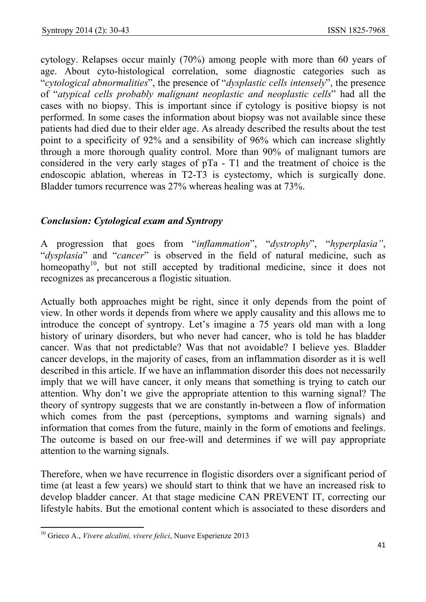cytology. Relapses occur mainly (70%) among people with more than 60 years of age. About cyto-histological correlation, some diagnostic categories such as "*cytological abnormalities*", the presence of "*dysplastic cells intensely*", the presence of "*atypical cells probably malignant neoplastic and neoplastic cells*" had all the cases with no biopsy. This is important since if cytology is positive biopsy is not performed. In some cases the information about biopsy was not available since these patients had died due to their elder age. As already described the results about the test point to a specificity of 92% and a sensibility of 96% which can increase slightly through a more thorough quality control. More than 90% of malignant tumors are considered in the very early stages of pTa - T1 and the treatment of choice is the endoscopic ablation, whereas in T2-T3 is cystectomy, which is surgically done. Bladder tumors recurrence was 27% whereas healing was at 73%.

# *Conclusion: Cytological exam and Syntropy*

A progression that goes from "*inflammation*", "*dystrophy*", "*hyperplasia"*, "*dysplasia*" and "*cancer*" is observed in the field of natural medicine, such as homeopathy<sup>10</sup>, but not still accepted by traditional medicine, since it does not recognizes as precancerous a flogistic situation.

Actually both approaches might be right, since it only depends from the point of view. In other words it depends from where we apply causality and this allows me to introduce the concept of syntropy. Let's imagine a 75 years old man with a long history of urinary disorders, but who never had cancer, who is told he has bladder cancer. Was that not predictable? Was that not avoidable? I believe yes. Bladder cancer develops, in the majority of cases, from an inflammation disorder as it is well described in this article. If we have an inflammation disorder this does not necessarily imply that we will have cancer, it only means that something is trying to catch our attention. Why don't we give the appropriate attention to this warning signal? The theory of syntropy suggests that we are constantly in-between a flow of information which comes from the past (perceptions, symptoms and warning signals) and information that comes from the future, mainly in the form of emotions and feelings. The outcome is based on our free-will and determines if we will pay appropriate attention to the warning signals.

Therefore, when we have recurrence in flogistic disorders over a significant period of time (at least a few years) we should start to think that we have an increased risk to develop bladder cancer. At that stage medicine CAN PREVENT IT, correcting our lifestyle habits. But the emotional content which is associated to these disorders and

 $\overline{a}$ 

<sup>10</sup> Grieco A., *Vivere alcalini, vivere felici*, Nuove Esperienze 2013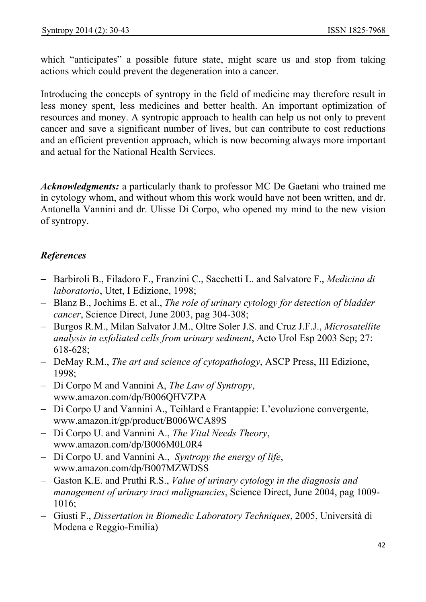which "anticipates" a possible future state, might scare us and stop from taking actions which could prevent the degeneration into a cancer.

Introducing the concepts of syntropy in the field of medicine may therefore result in less money spent, less medicines and better health. An important optimization of resources and money. A syntropic approach to health can help us not only to prevent cancer and save a significant number of lives, but can contribute to cost reductions and an efficient prevention approach, which is now becoming always more important and actual for the National Health Services.

*Acknowledgments:* a particularly thank to professor MC De Gaetani who trained me in cytology whom, and without whom this work would have not been written, and dr. Antonella Vannini and dr. Ulisse Di Corpo, who opened my mind to the new vision of syntropy.

# *References*

- − Barbiroli B., Filadoro F., Franzini C., Sacchetti L. and Salvatore F., *Medicina di laboratorio*, Utet, I Edizione, 1998;
- − Blanz B., Jochims E. et al., *The role of urinary cytology for detection of bladder cancer*, Science Direct, June 2003, pag 304-308;
- − Burgos R.M., Milan Salvator J.M., Oltre Soler J.S. and Cruz J.F.J., *Microsatellite analysis in exfoliated cells from urinary sediment*, Acto Urol Esp 2003 Sep; 27: 618-628;
- − DeMay R.M., *The art and science of cytopathology*, ASCP Press, III Edizione, 1998;
- − Di Corpo M and Vannini A, *The Law of Syntropy*, www.amazon.com/dp/B006QHVZPA
- − Di Corpo U and Vannini A., Teihlard e Frantappie: L'evoluzione convergente, www.amazon.it/gp/product/B006WCA89S
- − Di Corpo U. and Vannini A., *The Vital Needs Theory*, www.amazon.com/dp/B006M0L0R4
- − Di Corpo U. and Vannini A., *Syntropy the energy of life*, www.amazon.com/dp/B007MZWDSS
- − Gaston K.E. and Pruthi R.S., *Value of urinary cytology in the diagnosis and management of urinary tract malignancies*, Science Direct, June 2004, pag 1009- 1016;
- − Giusti F., *Dissertation in Biomedic Laboratory Techniques*, 2005, Università di Modena e Reggio-Emilia)